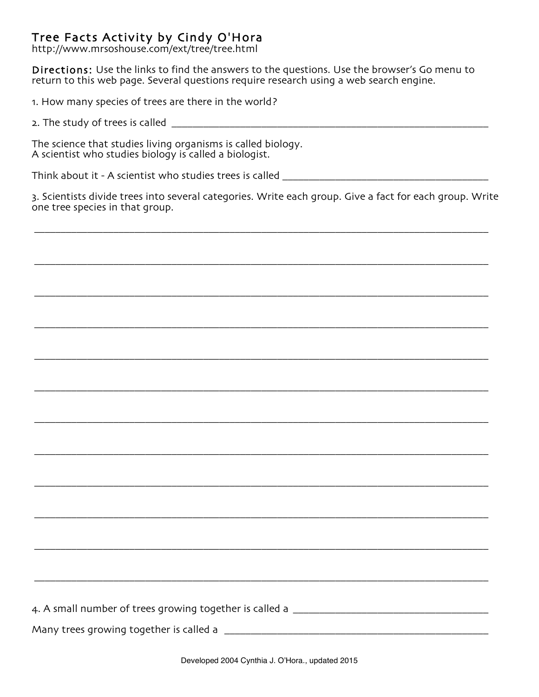## Tree Facts Activity by Cindy O'Hora

http://www.mrsoshouse.com/ext/tree/tree.html

Directions: Use the links to find the answers to the questions. Use the browser's Go menu to return to this web page. Several questions require research using a web search engine.

1. How many species of trees are there in the world?

2. The study of trees is called

The science that studies living organisms is called biology. A scientist who studies biology is called a biologist.

Think about it - A scientist who studies trees is called

3. Scientists divide trees into several categories. Write each group. Give a fact for each group. Write one tree species in that group.

\_\_\_\_\_\_\_\_\_\_\_\_\_\_\_\_\_\_\_\_\_\_\_\_\_\_\_\_\_\_\_\_\_\_\_\_\_\_\_\_\_\_\_\_\_\_\_\_\_\_\_\_\_\_\_\_\_\_\_\_\_\_\_\_\_\_\_\_\_\_\_\_\_\_\_\_\_\_\_\_\_\_\_\_\_\_

\_\_\_\_\_\_\_\_\_\_\_\_\_\_\_\_\_\_\_\_\_\_\_\_\_\_\_\_\_\_\_\_\_\_\_\_\_\_\_\_\_\_\_\_\_\_\_\_\_\_\_\_\_\_\_\_\_\_\_\_\_\_\_\_\_\_\_\_\_\_\_\_\_\_\_\_\_\_\_\_\_\_\_\_\_\_

\_\_\_\_\_\_\_\_\_\_\_\_\_\_\_\_\_\_\_\_\_\_\_\_\_\_\_\_\_\_\_\_\_\_\_\_\_\_\_\_\_\_\_\_\_\_\_\_\_\_\_\_\_\_\_\_\_\_\_\_\_\_\_\_\_\_\_\_\_\_\_\_\_\_\_\_\_\_\_\_\_\_\_\_\_\_

\_\_\_\_\_\_\_\_\_\_\_\_\_\_\_\_\_\_\_\_\_\_\_\_\_\_\_\_\_\_\_\_\_\_\_\_\_\_\_\_\_\_\_\_\_\_\_\_\_\_\_\_\_\_\_\_\_\_\_\_\_\_\_\_\_\_\_\_\_\_\_\_\_\_\_\_\_\_\_\_\_\_\_\_\_\_

\_\_\_\_\_\_\_\_\_\_\_\_\_\_\_\_\_\_\_\_\_\_\_\_\_\_\_\_\_\_\_\_\_\_\_\_\_\_\_\_\_\_\_\_\_\_\_\_\_\_\_\_\_\_\_\_\_\_\_\_\_\_\_\_\_\_\_\_\_\_\_\_\_\_\_\_\_\_\_\_\_\_\_\_\_\_

\_\_\_\_\_\_\_\_\_\_\_\_\_\_\_\_\_\_\_\_\_\_\_\_\_\_\_\_\_\_\_\_\_\_\_\_\_\_\_\_\_\_\_\_\_\_\_\_\_\_\_\_\_\_\_\_\_\_\_\_\_\_\_\_\_\_\_\_\_\_\_\_\_\_\_\_\_\_\_\_\_\_\_\_\_\_

\_\_\_\_\_\_\_\_\_\_\_\_\_\_\_\_\_\_\_\_\_\_\_\_\_\_\_\_\_\_\_\_\_\_\_\_\_\_\_\_\_\_\_\_\_\_\_\_\_\_\_\_\_\_\_\_\_\_\_\_\_\_\_\_\_\_\_\_\_\_\_\_\_\_\_\_\_\_\_\_\_\_\_\_\_\_

\_\_\_\_\_\_\_\_\_\_\_\_\_\_\_\_\_\_\_\_\_\_\_\_\_\_\_\_\_\_\_\_\_\_\_\_\_\_\_\_\_\_\_\_\_\_\_\_\_\_\_\_\_\_\_\_\_\_\_\_\_\_\_\_\_\_\_\_\_\_\_\_\_\_\_\_\_\_\_\_\_\_\_\_\_\_

\_\_\_\_\_\_\_\_\_\_\_\_\_\_\_\_\_\_\_\_\_\_\_\_\_\_\_\_\_\_\_\_\_\_\_\_\_\_\_\_\_\_\_\_\_\_\_\_\_\_\_\_\_\_\_\_\_\_\_\_\_\_\_\_\_\_\_\_\_\_\_\_\_\_\_\_\_\_\_\_\_\_\_\_\_\_

\_\_\_\_\_\_\_\_\_\_\_\_\_\_\_\_\_\_\_\_\_\_\_\_\_\_\_\_\_\_\_\_\_\_\_\_\_\_\_\_\_\_\_\_\_\_\_\_\_\_\_\_\_\_\_\_\_\_\_\_\_\_\_\_\_\_\_\_\_\_\_\_\_\_\_\_\_\_\_\_\_\_\_\_\_\_

\_\_\_\_\_\_\_\_\_\_\_\_\_\_\_\_\_\_\_\_\_\_\_\_\_\_\_\_\_\_\_\_\_\_\_\_\_\_\_\_\_\_\_\_\_\_\_\_\_\_\_\_\_\_\_\_\_\_\_\_\_\_\_\_\_\_\_\_\_\_\_\_\_\_\_\_\_\_\_\_\_\_\_\_\_\_

\_\_\_\_\_\_\_\_\_\_\_\_\_\_\_\_\_\_\_\_\_\_\_\_\_\_\_\_\_\_\_\_\_\_\_\_\_\_\_\_\_\_\_\_\_\_\_\_\_\_\_\_\_\_\_\_\_\_\_\_\_\_\_\_\_\_\_\_\_\_\_\_\_\_\_\_\_\_\_\_\_\_\_\_\_\_

| 4. A small number of trees growing together is called a |  |
|---------------------------------------------------------|--|
|                                                         |  |

Many trees growing together is called a \_\_\_\_\_\_\_\_\_\_\_\_\_\_\_\_\_\_\_\_\_\_\_\_\_\_\_\_\_\_\_\_\_\_\_\_\_\_\_\_\_\_\_\_\_\_\_\_\_\_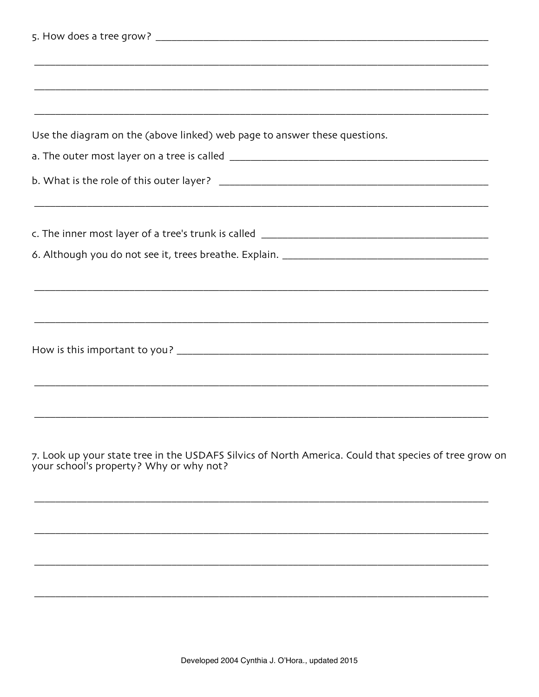| Use the diagram on the (above linked) web page to answer these questions.                          |
|----------------------------------------------------------------------------------------------------|
|                                                                                                    |
|                                                                                                    |
|                                                                                                    |
|                                                                                                    |
|                                                                                                    |
|                                                                                                    |
|                                                                                                    |
|                                                                                                    |
|                                                                                                    |
|                                                                                                    |
|                                                                                                    |
|                                                                                                    |
|                                                                                                    |
|                                                                                                    |
|                                                                                                    |
|                                                                                                    |
|                                                                                                    |
| 7. Look up your state tree in the USDAFS Silvics of North America. Could that species of tree grow |
| (2.1)                                                                                              |

on your school's property? Why or why not?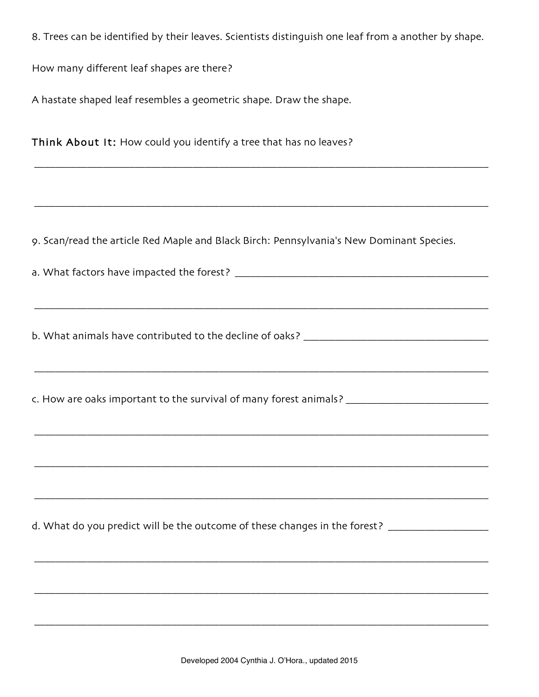8. Trees can be identified by their leaves. Scientists distinguish one leaf from a another by shape.

\_\_\_\_\_\_\_\_\_\_\_\_\_\_\_\_\_\_\_\_\_\_\_\_\_\_\_\_\_\_\_\_\_\_\_\_\_\_\_\_\_\_\_\_\_\_\_\_\_\_\_\_\_\_\_\_\_\_\_\_\_\_\_\_\_\_\_\_\_\_\_\_\_\_\_\_\_\_\_\_\_\_\_\_\_\_

\_\_\_\_\_\_\_\_\_\_\_\_\_\_\_\_\_\_\_\_\_\_\_\_\_\_\_\_\_\_\_\_\_\_\_\_\_\_\_\_\_\_\_\_\_\_\_\_\_\_\_\_\_\_\_\_\_\_\_\_\_\_\_\_\_\_\_\_\_\_\_\_\_\_\_\_\_\_\_\_\_\_\_\_\_\_

How many different leaf shapes are there?

A hastate shaped leaf resembles a geometric shape. Draw the shape.

Think About It: How could you identify a tree that has no leaves?

9. Scan/read the article Red Maple and Black Birch: Pennsylvania's New Dominant Species.

a. What factors have impacted the forest? \_\_\_\_\_\_\_\_\_\_\_\_\_\_\_\_\_\_\_\_\_\_\_\_\_\_\_\_\_\_\_\_\_\_\_\_\_\_\_\_\_\_\_\_\_\_\_\_

b. What animals have contributed to the decline of oaks? \_\_\_\_\_\_\_\_\_\_\_\_\_\_\_\_\_\_\_\_\_\_\_\_\_\_\_\_\_\_

\_\_\_\_\_\_\_\_\_\_\_\_\_\_\_\_\_\_\_\_\_\_\_\_\_\_\_\_\_\_\_\_\_\_\_\_\_\_\_\_\_\_\_\_\_\_\_\_\_\_\_\_\_\_\_\_\_\_\_\_\_\_\_\_\_\_\_\_\_\_\_\_\_\_\_\_\_\_\_\_\_\_\_\_\_\_

\_\_\_\_\_\_\_\_\_\_\_\_\_\_\_\_\_\_\_\_\_\_\_\_\_\_\_\_\_\_\_\_\_\_\_\_\_\_\_\_\_\_\_\_\_\_\_\_\_\_\_\_\_\_\_\_\_\_\_\_\_\_\_\_\_\_\_\_\_\_\_\_\_\_\_\_\_\_\_\_\_\_\_\_\_\_

\_\_\_\_\_\_\_\_\_\_\_\_\_\_\_\_\_\_\_\_\_\_\_\_\_\_\_\_\_\_\_\_\_\_\_\_\_\_\_\_\_\_\_\_\_\_\_\_\_\_\_\_\_\_\_\_\_\_\_\_\_\_\_\_\_\_\_\_\_\_\_\_\_\_\_\_\_\_\_\_\_\_\_\_\_\_

\_\_\_\_\_\_\_\_\_\_\_\_\_\_\_\_\_\_\_\_\_\_\_\_\_\_\_\_\_\_\_\_\_\_\_\_\_\_\_\_\_\_\_\_\_\_\_\_\_\_\_\_\_\_\_\_\_\_\_\_\_\_\_\_\_\_\_\_\_\_\_\_\_\_\_\_\_\_\_\_\_\_\_\_\_\_

\_\_\_\_\_\_\_\_\_\_\_\_\_\_\_\_\_\_\_\_\_\_\_\_\_\_\_\_\_\_\_\_\_\_\_\_\_\_\_\_\_\_\_\_\_\_\_\_\_\_\_\_\_\_\_\_\_\_\_\_\_\_\_\_\_\_\_\_\_\_\_\_\_\_\_\_\_\_\_\_\_\_\_\_\_\_

\_\_\_\_\_\_\_\_\_\_\_\_\_\_\_\_\_\_\_\_\_\_\_\_\_\_\_\_\_\_\_\_\_\_\_\_\_\_\_\_\_\_\_\_\_\_\_\_\_\_\_\_\_\_\_\_\_\_\_\_\_\_\_\_\_\_\_\_\_\_\_\_\_\_\_\_\_\_\_\_\_\_\_\_\_\_

\_\_\_\_\_\_\_\_\_\_\_\_\_\_\_\_\_\_\_\_\_\_\_\_\_\_\_\_\_\_\_\_\_\_\_\_\_\_\_\_\_\_\_\_\_\_\_\_\_\_\_\_\_\_\_\_\_\_\_\_\_\_\_\_\_\_\_\_\_\_\_\_\_\_\_\_\_\_\_\_\_\_\_\_\_\_

\_\_\_\_\_\_\_\_\_\_\_\_\_\_\_\_\_\_\_\_\_\_\_\_\_\_\_\_\_\_\_\_\_\_\_\_\_\_\_\_\_\_\_\_\_\_\_\_\_\_\_\_\_\_\_\_\_\_\_\_\_\_\_\_\_\_\_\_\_\_\_\_\_\_\_\_\_\_\_\_\_\_\_\_\_\_

c. How are oaks important to the survival of many forest animals? \_\_\_\_\_\_\_\_\_\_\_\_\_\_\_\_\_\_\_\_\_\_\_\_\_\_\_\_\_\_\_\_\_\_

d. What do you predict will be the outcome of these changes in the forest? \_\_\_\_\_\_\_\_\_\_\_\_\_\_\_\_\_\_\_\_\_\_\_\_\_\_\_\_\_\_\_\_\_\_\_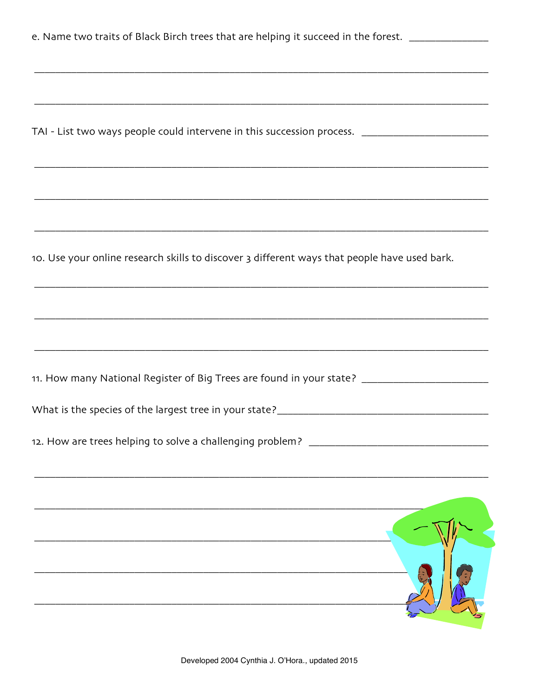| e. Name two traits of Black Birch trees that are helping it succeed in the forest. _______________   |
|------------------------------------------------------------------------------------------------------|
|                                                                                                      |
|                                                                                                      |
|                                                                                                      |
|                                                                                                      |
| TAI - List two ways people could intervene in this succession process. ____________________________  |
|                                                                                                      |
|                                                                                                      |
|                                                                                                      |
|                                                                                                      |
|                                                                                                      |
|                                                                                                      |
| 10. Use your online research skills to discover 3 different ways that people have used bark.         |
|                                                                                                      |
|                                                                                                      |
|                                                                                                      |
|                                                                                                      |
|                                                                                                      |
|                                                                                                      |
| 11. How many National Register of Big Trees are found in your state? _______________________________ |
|                                                                                                      |
|                                                                                                      |
|                                                                                                      |
|                                                                                                      |
|                                                                                                      |
|                                                                                                      |
|                                                                                                      |
|                                                                                                      |
|                                                                                                      |
|                                                                                                      |
|                                                                                                      |
|                                                                                                      |
|                                                                                                      |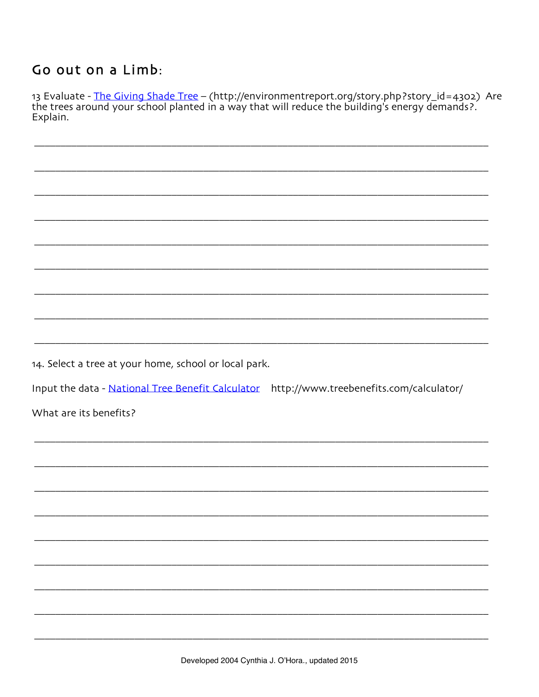## Go out on a Limb:

13 Evaluate - The Giving Shade Tree – (http://environmentreport.org/story.php?story\_id=4302) Are the trees around your school planted in a way that will reduce the building's energy demands?. Explain.

14. Select a tree at your home, school or local park.

Input the data - National Tree Benefit Calculator http://www.treebenefits.com/calculator/

What are its benefits?